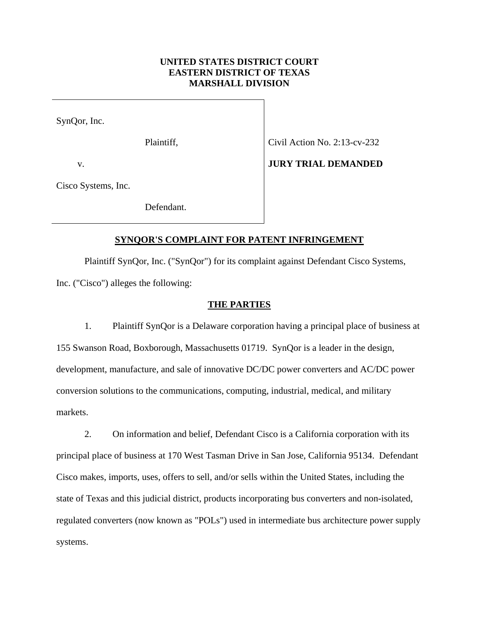# **UNITED STATES DISTRICT COURT EASTERN DISTRICT OF TEXAS MARSHALL DIVISION**

SynQor, Inc.

Plaintiff, Civil Action No. 2:13-cv-232

v.

Cisco Systems, Inc.

Defendant.

## **SYNQOR'S COMPLAINT FOR PATENT INFRINGEMENT**

 Plaintiff SynQor, Inc. ("SynQor") for its complaint against Defendant Cisco Systems, Inc. ("Cisco") alleges the following:

## **THE PARTIES**

1. Plaintiff SynQor is a Delaware corporation having a principal place of business at 155 Swanson Road, Boxborough, Massachusetts 01719. SynQor is a leader in the design, development, manufacture, and sale of innovative DC/DC power converters and AC/DC power conversion solutions to the communications, computing, industrial, medical, and military markets.

2. On information and belief, Defendant Cisco is a California corporation with its principal place of business at 170 West Tasman Drive in San Jose, California 95134. Defendant Cisco makes, imports, uses, offers to sell, and/or sells within the United States, including the state of Texas and this judicial district, products incorporating bus converters and non-isolated, regulated converters (now known as "POLs") used in intermediate bus architecture power supply systems.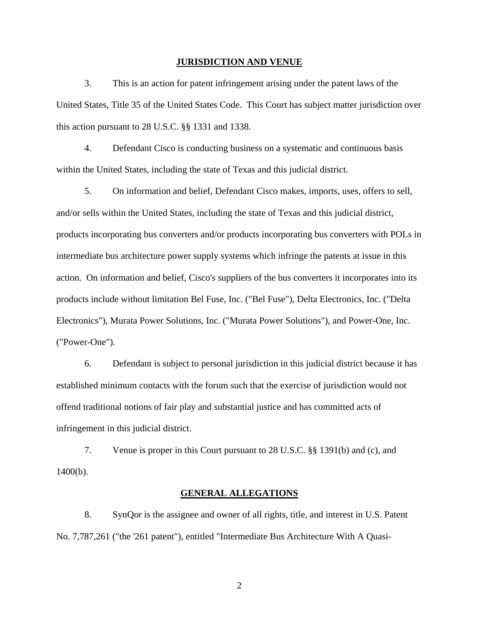#### **JURISDICTION AND VENUE**

3. This is an action for patent infringement arising under the patent laws of the United States, Title 35 of the United States Code. This Court has subject matter jurisdiction over this action pursuant to 28 U.S.C. §§ 1331 and 1338.

4. Defendant Cisco is conducting business on a systematic and continuous basis within the United States, including the state of Texas and this judicial district.

5. On information and belief, Defendant Cisco makes, imports, uses, offers to sell, and/or sells within the United States, including the state of Texas and this judicial district, products incorporating bus converters and/or products incorporating bus converters with POLs in intermediate bus architecture power supply systems which infringe the patents at issue in this action. On information and belief, Cisco's suppliers of the bus converters it incorporates into its products include without limitation Bel Fuse, Inc. ("Bel Fuse"), Delta Electronics, Inc. ("Delta Electronics"), Murata Power Solutions, Inc. ("Murata Power Solutions"), and Power-One, Inc. ("Power-One").

6. Defendant is subject to personal jurisdiction in this judicial district because it has established minimum contacts with the forum such that the exercise of jurisdiction would not offend traditional notions of fair play and substantial justice and has committed acts of infringement in this judicial district.

7. Venue is proper in this Court pursuant to 28 U.S.C. §§ 1391(b) and (c), and 1400(b).

### **GENERAL ALLEGATIONS**

8. SynQor is the assignee and owner of all rights, title, and interest in U.S. Patent No. 7,787,261 ("the '261 patent"), entitled "Intermediate Bus Architecture With A Quasi-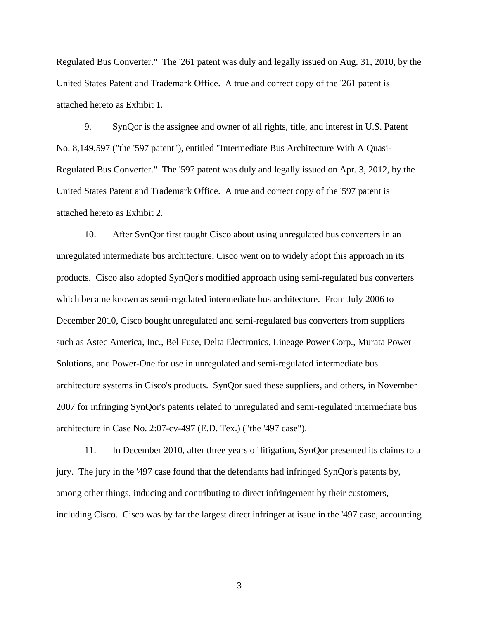Regulated Bus Converter." The '261 patent was duly and legally issued on Aug. 31, 2010, by the United States Patent and Trademark Office. A true and correct copy of the '261 patent is attached hereto as Exhibit 1.

9. SynQor is the assignee and owner of all rights, title, and interest in U.S. Patent No. 8,149,597 ("the '597 patent"), entitled "Intermediate Bus Architecture With A Quasi-Regulated Bus Converter." The '597 patent was duly and legally issued on Apr. 3, 2012, by the United States Patent and Trademark Office. A true and correct copy of the '597 patent is attached hereto as Exhibit 2.

10. After SynQor first taught Cisco about using unregulated bus converters in an unregulated intermediate bus architecture, Cisco went on to widely adopt this approach in its products. Cisco also adopted SynQor's modified approach using semi-regulated bus converters which became known as semi-regulated intermediate bus architecture. From July 2006 to December 2010, Cisco bought unregulated and semi-regulated bus converters from suppliers such as Astec America, Inc., Bel Fuse, Delta Electronics, Lineage Power Corp., Murata Power Solutions, and Power-One for use in unregulated and semi-regulated intermediate bus architecture systems in Cisco's products. SynQor sued these suppliers, and others, in November 2007 for infringing SynQor's patents related to unregulated and semi-regulated intermediate bus architecture in Case No. 2:07-cv-497 (E.D. Tex.) ("the '497 case").

11. In December 2010, after three years of litigation, SynQor presented its claims to a jury. The jury in the '497 case found that the defendants had infringed SynQor's patents by, among other things, inducing and contributing to direct infringement by their customers, including Cisco. Cisco was by far the largest direct infringer at issue in the '497 case, accounting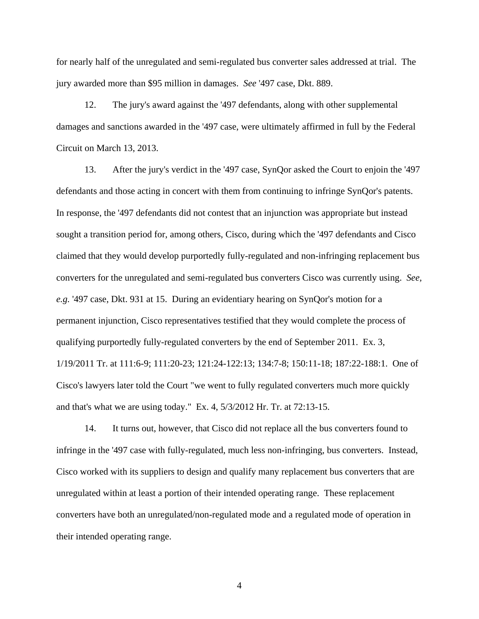for nearly half of the unregulated and semi-regulated bus converter sales addressed at trial. The jury awarded more than \$95 million in damages. *See* '497 case, Dkt. 889.

12. The jury's award against the '497 defendants, along with other supplemental damages and sanctions awarded in the '497 case, were ultimately affirmed in full by the Federal Circuit on March 13, 2013.

13. After the jury's verdict in the '497 case, SynQor asked the Court to enjoin the '497 defendants and those acting in concert with them from continuing to infringe SynQor's patents. In response, the '497 defendants did not contest that an injunction was appropriate but instead sought a transition period for, among others, Cisco, during which the '497 defendants and Cisco claimed that they would develop purportedly fully-regulated and non-infringing replacement bus converters for the unregulated and semi-regulated bus converters Cisco was currently using. *See, e.g.* '497 case, Dkt. 931 at 15. During an evidentiary hearing on SynQor's motion for a permanent injunction, Cisco representatives testified that they would complete the process of qualifying purportedly fully-regulated converters by the end of September 2011. Ex. 3, 1/19/2011 Tr. at 111:6-9; 111:20-23; 121:24-122:13; 134:7-8; 150:11-18; 187:22-188:1. One of Cisco's lawyers later told the Court "we went to fully regulated converters much more quickly and that's what we are using today." Ex. 4, 5/3/2012 Hr. Tr. at 72:13-15.

14. It turns out, however, that Cisco did not replace all the bus converters found to infringe in the '497 case with fully-regulated, much less non-infringing, bus converters. Instead, Cisco worked with its suppliers to design and qualify many replacement bus converters that are unregulated within at least a portion of their intended operating range. These replacement converters have both an unregulated/non-regulated mode and a regulated mode of operation in their intended operating range.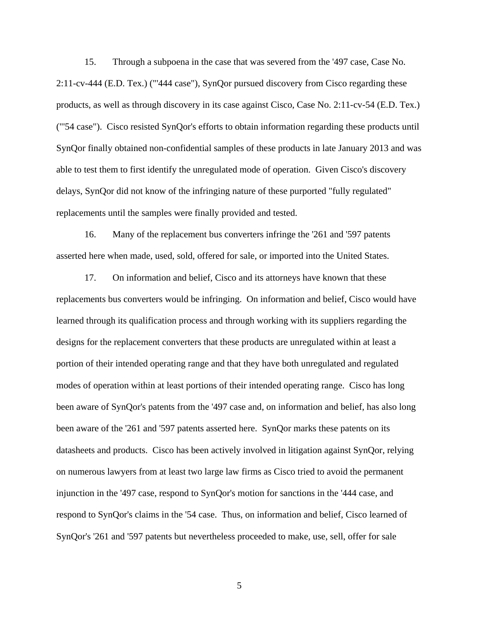15. Through a subpoena in the case that was severed from the '497 case, Case No. 2:11-cv-444 (E.D. Tex.) ("'444 case"), SynQor pursued discovery from Cisco regarding these products, as well as through discovery in its case against Cisco, Case No. 2:11-cv-54 (E.D. Tex.) ("'54 case"). Cisco resisted SynQor's efforts to obtain information regarding these products until SynQor finally obtained non-confidential samples of these products in late January 2013 and was able to test them to first identify the unregulated mode of operation. Given Cisco's discovery delays, SynQor did not know of the infringing nature of these purported "fully regulated" replacements until the samples were finally provided and tested.

16. Many of the replacement bus converters infringe the '261 and '597 patents asserted here when made, used, sold, offered for sale, or imported into the United States.

17. On information and belief, Cisco and its attorneys have known that these replacements bus converters would be infringing. On information and belief, Cisco would have learned through its qualification process and through working with its suppliers regarding the designs for the replacement converters that these products are unregulated within at least a portion of their intended operating range and that they have both unregulated and regulated modes of operation within at least portions of their intended operating range. Cisco has long been aware of SynQor's patents from the '497 case and, on information and belief, has also long been aware of the '261 and '597 patents asserted here. SynQor marks these patents on its datasheets and products. Cisco has been actively involved in litigation against SynQor, relying on numerous lawyers from at least two large law firms as Cisco tried to avoid the permanent injunction in the '497 case, respond to SynQor's motion for sanctions in the '444 case, and respond to SynQor's claims in the '54 case. Thus, on information and belief, Cisco learned of SynQor's '261 and '597 patents but nevertheless proceeded to make, use, sell, offer for sale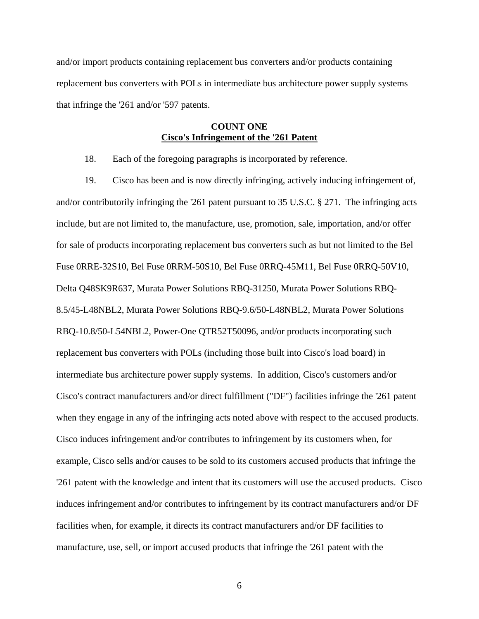and/or import products containing replacement bus converters and/or products containing replacement bus converters with POLs in intermediate bus architecture power supply systems that infringe the '261 and/or '597 patents.

# **COUNT ONE Cisco's Infringement of the '261 Patent**

18. Each of the foregoing paragraphs is incorporated by reference.

19. Cisco has been and is now directly infringing, actively inducing infringement of, and/or contributorily infringing the '261 patent pursuant to 35 U.S.C. § 271. The infringing acts include, but are not limited to, the manufacture, use, promotion, sale, importation, and/or offer for sale of products incorporating replacement bus converters such as but not limited to the Bel Fuse 0RRE-32S10, Bel Fuse 0RRM-50S10, Bel Fuse 0RRQ-45M11, Bel Fuse 0RRQ-50V10, Delta Q48SK9R637, Murata Power Solutions RBQ-31250, Murata Power Solutions RBQ-8.5/45-L48NBL2, Murata Power Solutions RBQ-9.6/50-L48NBL2, Murata Power Solutions RBQ-10.8/50-L54NBL2, Power-One QTR52T50096, and/or products incorporating such replacement bus converters with POLs (including those built into Cisco's load board) in intermediate bus architecture power supply systems. In addition, Cisco's customers and/or Cisco's contract manufacturers and/or direct fulfillment ("DF") facilities infringe the '261 patent when they engage in any of the infringing acts noted above with respect to the accused products. Cisco induces infringement and/or contributes to infringement by its customers when, for example, Cisco sells and/or causes to be sold to its customers accused products that infringe the '261 patent with the knowledge and intent that its customers will use the accused products. Cisco induces infringement and/or contributes to infringement by its contract manufacturers and/or DF facilities when, for example, it directs its contract manufacturers and/or DF facilities to manufacture, use, sell, or import accused products that infringe the '261 patent with the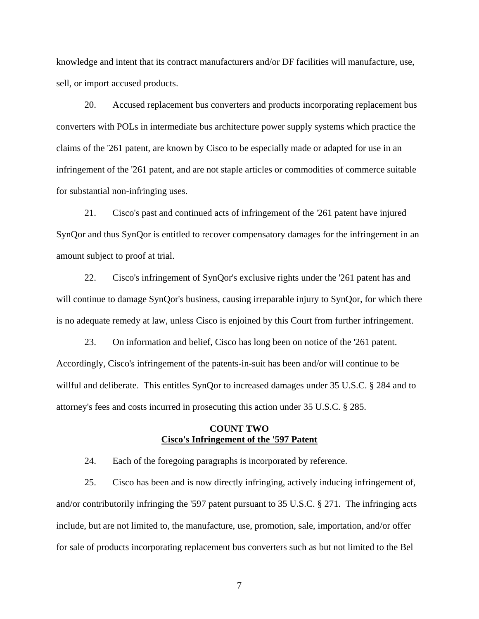knowledge and intent that its contract manufacturers and/or DF facilities will manufacture, use, sell, or import accused products.

20. Accused replacement bus converters and products incorporating replacement bus converters with POLs in intermediate bus architecture power supply systems which practice the claims of the '261 patent, are known by Cisco to be especially made or adapted for use in an infringement of the '261 patent, and are not staple articles or commodities of commerce suitable for substantial non-infringing uses.

21. Cisco's past and continued acts of infringement of the '261 patent have injured SynQor and thus SynQor is entitled to recover compensatory damages for the infringement in an amount subject to proof at trial.

22. Cisco's infringement of SynQor's exclusive rights under the '261 patent has and will continue to damage SynQor's business, causing irreparable injury to SynQor, for which there is no adequate remedy at law, unless Cisco is enjoined by this Court from further infringement.

23. On information and belief, Cisco has long been on notice of the '261 patent. Accordingly, Cisco's infringement of the patents-in-suit has been and/or will continue to be willful and deliberate. This entitles SynQor to increased damages under 35 U.S.C. § 284 and to attorney's fees and costs incurred in prosecuting this action under 35 U.S.C. § 285.

# **COUNT TWO Cisco's Infringement of the '597 Patent**

24. Each of the foregoing paragraphs is incorporated by reference.

25. Cisco has been and is now directly infringing, actively inducing infringement of, and/or contributorily infringing the '597 patent pursuant to 35 U.S.C. § 271. The infringing acts include, but are not limited to, the manufacture, use, promotion, sale, importation, and/or offer for sale of products incorporating replacement bus converters such as but not limited to the Bel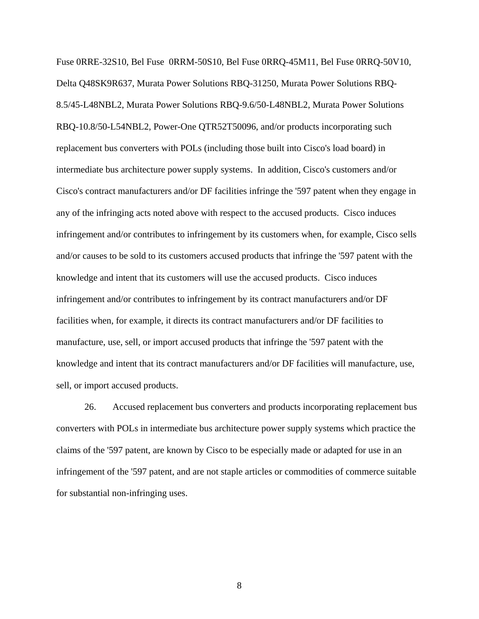Fuse 0RRE-32S10, Bel Fuse 0RRM-50S10, Bel Fuse 0RRQ-45M11, Bel Fuse 0RRQ-50V10, Delta Q48SK9R637, Murata Power Solutions RBQ-31250, Murata Power Solutions RBQ-8.5/45-L48NBL2, Murata Power Solutions RBQ-9.6/50-L48NBL2, Murata Power Solutions RBQ-10.8/50-L54NBL2, Power-One QTR52T50096, and/or products incorporating such replacement bus converters with POLs (including those built into Cisco's load board) in intermediate bus architecture power supply systems. In addition, Cisco's customers and/or Cisco's contract manufacturers and/or DF facilities infringe the '597 patent when they engage in any of the infringing acts noted above with respect to the accused products. Cisco induces infringement and/or contributes to infringement by its customers when, for example, Cisco sells and/or causes to be sold to its customers accused products that infringe the '597 patent with the knowledge and intent that its customers will use the accused products. Cisco induces infringement and/or contributes to infringement by its contract manufacturers and/or DF facilities when, for example, it directs its contract manufacturers and/or DF facilities to manufacture, use, sell, or import accused products that infringe the '597 patent with the knowledge and intent that its contract manufacturers and/or DF facilities will manufacture, use, sell, or import accused products.

26. Accused replacement bus converters and products incorporating replacement bus converters with POLs in intermediate bus architecture power supply systems which practice the claims of the '597 patent, are known by Cisco to be especially made or adapted for use in an infringement of the '597 patent, and are not staple articles or commodities of commerce suitable for substantial non-infringing uses.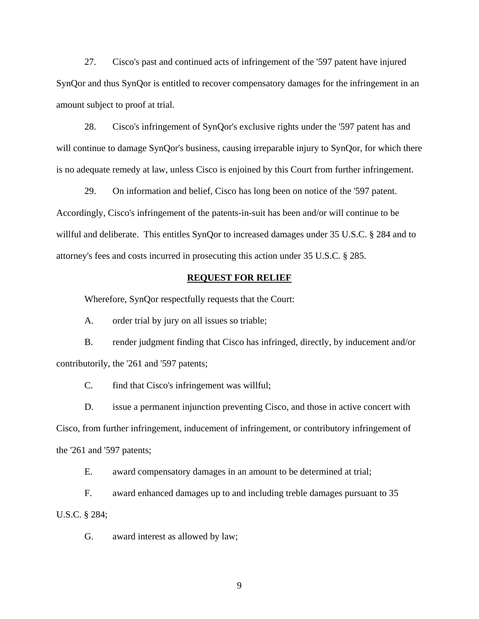27. Cisco's past and continued acts of infringement of the '597 patent have injured SynQor and thus SynQor is entitled to recover compensatory damages for the infringement in an amount subject to proof at trial.

28. Cisco's infringement of SynQor's exclusive rights under the '597 patent has and will continue to damage SynQor's business, causing irreparable injury to SynQor, for which there is no adequate remedy at law, unless Cisco is enjoined by this Court from further infringement.

29. On information and belief, Cisco has long been on notice of the '597 patent. Accordingly, Cisco's infringement of the patents-in-suit has been and/or will continue to be willful and deliberate. This entitles SynQor to increased damages under 35 U.S.C. § 284 and to attorney's fees and costs incurred in prosecuting this action under 35 U.S.C. § 285.

#### **REQUEST FOR RELIEF**

Wherefore, SynQor respectfully requests that the Court:

A. order trial by jury on all issues so triable;

B. render judgment finding that Cisco has infringed, directly, by inducement and/or contributorily, the '261 and '597 patents;

C. find that Cisco's infringement was willful;

D. issue a permanent injunction preventing Cisco, and those in active concert with Cisco, from further infringement, inducement of infringement, or contributory infringement of the '261 and '597 patents;

E. award compensatory damages in an amount to be determined at trial;

F. award enhanced damages up to and including treble damages pursuant to 35 U.S.C. § 284;

G. award interest as allowed by law;